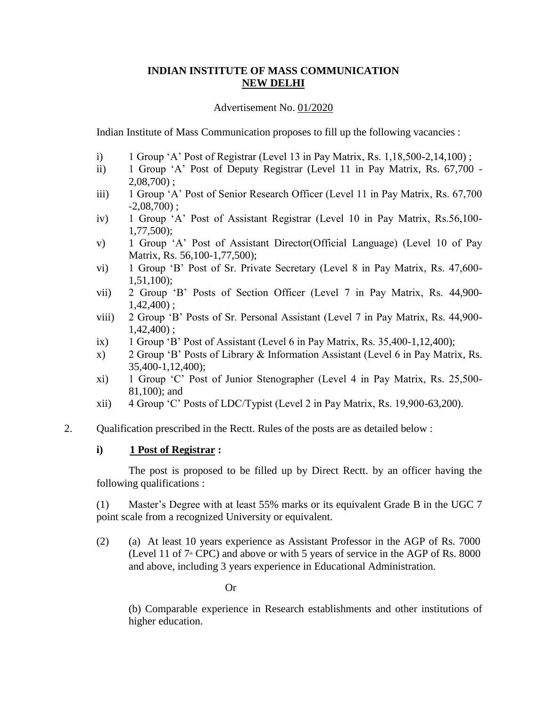# **INDIAN INSTITUTE OF MASS COMMUNICATION NEW DELHI**

#### Advertisement No. 01/2020

Indian Institute of Mass Communication proposes to fill up the following vacancies :

- i) 1 Group 'A' Post of Registrar (Level 13 in Pay Matrix, Rs. 1,18,500-2,14,100) ;
- ii) 1 Group 'A' Post of Deputy Registrar (Level 11 in Pay Matrix, Rs. 67,700  $2,08,700$  ;
- iii) 1 Group 'A' Post of Senior Research Officer (Level 11 in Pay Matrix, Rs. 67,700  $-2,08,700$ ;
- iv) 1 Group 'A' Post of Assistant Registrar (Level 10 in Pay Matrix, Rs.56,100- 1,77,500);
- v) 1 Group 'A' Post of Assistant Director(Official Language) (Level 10 of Pay Matrix, Rs. 56,100-1,77,500);
- vi) 1 Group 'B' Post of Sr. Private Secretary (Level 8 in Pay Matrix, Rs. 47,600- 1,51,100);
- vii) 2 Group 'B' Posts of Section Officer (Level 7 in Pay Matrix, Rs. 44,900- 1,42,400) ;
- viii) 2 Group 'B' Posts of Sr. Personal Assistant (Level 7 in Pay Matrix, Rs. 44,900-  $1,42,400$  ;
- ix) 1 Group 'B' Post of Assistant (Level 6 in Pay Matrix, Rs.  $35,400-1,12,400$ );
- x) 2 Group 'B' Posts of Library & Information Assistant (Level 6 in Pay Matrix, Rs. 35,400-1,12,400);
- xi) 1 Group 'C' Post of Junior Stenographer (Level 4 in Pay Matrix, Rs. 25,500- 81,100); and
- xii) 4 Group 'C' Posts of LDC/Typist (Level 2 in Pay Matrix, Rs. 19,900-63,200).
- 2. Qualification prescribed in the Rectt. Rules of the posts are as detailed below :

## **i) 1 Post of Registrar :**

The post is proposed to be filled up by Direct Rectt. by an officer having the following qualifications :

(1) Master's Degree with at least 55% marks or its equivalent Grade B in the UGC 7 point scale from a recognized University or equivalent.

(2) (a) At least 10 years experience as Assistant Professor in the AGP of Rs. 7000 (Level 11 of  $7^{\text{th}}$  CPC) and above or with 5 years of service in the AGP of Rs. 8000 and above, including 3 years experience in Educational Administration.

Or

(b) Comparable experience in Research establishments and other institutions of higher education.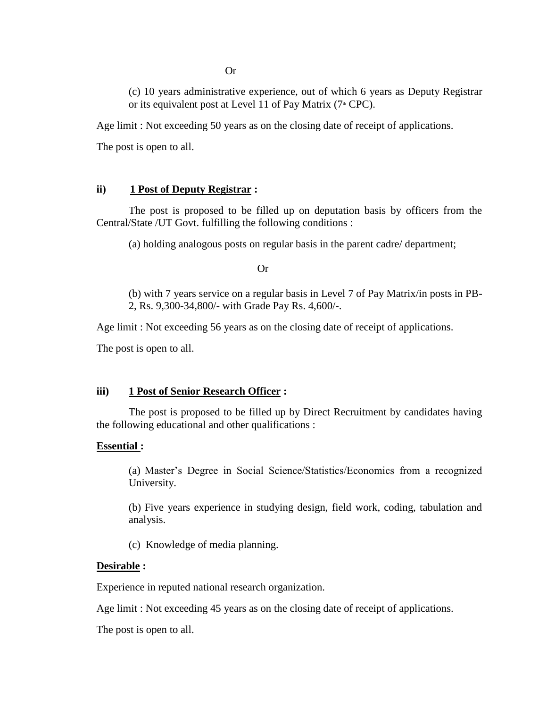(c) 10 years administrative experience, out of which 6 years as Deputy Registrar or its equivalent post at Level 11 of Pay Matrix  $(7 \text{#} \text{CPC})$ .

Age limit : Not exceeding 50 years as on the closing date of receipt of applications.

The post is open to all.

## **ii) 1 Post of Deputy Registrar :**

The post is proposed to be filled up on deputation basis by officers from the Central/State /UT Govt. fulfilling the following conditions :

(a) holding analogous posts on regular basis in the parent cadre/ department;

Or

(b) with 7 years service on a regular basis in Level 7 of Pay Matrix/in posts in PB-2, Rs. 9,300-34,800/- with Grade Pay Rs. 4,600/-.

Age limit : Not exceeding 56 years as on the closing date of receipt of applications.

The post is open to all.

## **iii) 1 Post of Senior Research Officer :**

The post is proposed to be filled up by Direct Recruitment by candidates having the following educational and other qualifications :

## **Essential :**

(a) Master's Degree in Social Science/Statistics/Economics from a recognized University.

(b) Five years experience in studying design, field work, coding, tabulation and analysis.

(c) Knowledge of media planning.

## **Desirable :**

Experience in reputed national research organization.

Age limit : Not exceeding 45 years as on the closing date of receipt of applications.

The post is open to all.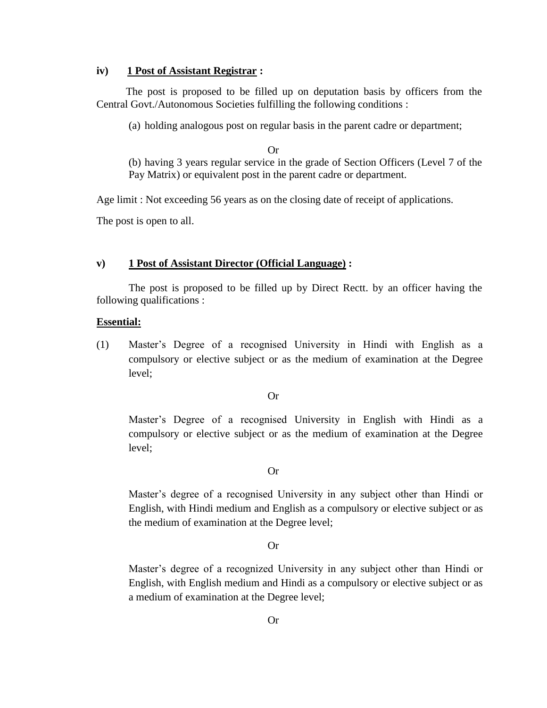#### **iv) 1 Post of Assistant Registrar :**

The post is proposed to be filled up on deputation basis by officers from the Central Govt./Autonomous Societies fulfilling the following conditions :

(a) holding analogous post on regular basis in the parent cadre or department;

Or

(b) having 3 years regular service in the grade of Section Officers (Level 7 of the Pay Matrix) or equivalent post in the parent cadre or department.

Age limit : Not exceeding 56 years as on the closing date of receipt of applications.

The post is open to all.

#### **v) 1 Post of Assistant Director (Official Language) :**

The post is proposed to be filled up by Direct Rectt. by an officer having the following qualifications :

#### **Essential:**

(1) Master's Degree of a recognised University in Hindi with English as a compulsory or elective subject or as the medium of examination at the Degree level;

#### Or

Master's Degree of a recognised University in English with Hindi as a compulsory or elective subject or as the medium of examination at the Degree level;

#### Or

Master's degree of a recognised University in any subject other than Hindi or English, with Hindi medium and English as a compulsory or elective subject or as the medium of examination at the Degree level;

#### Or

Master's degree of a recognized University in any subject other than Hindi or English, with English medium and Hindi as a compulsory or elective subject or as a medium of examination at the Degree level;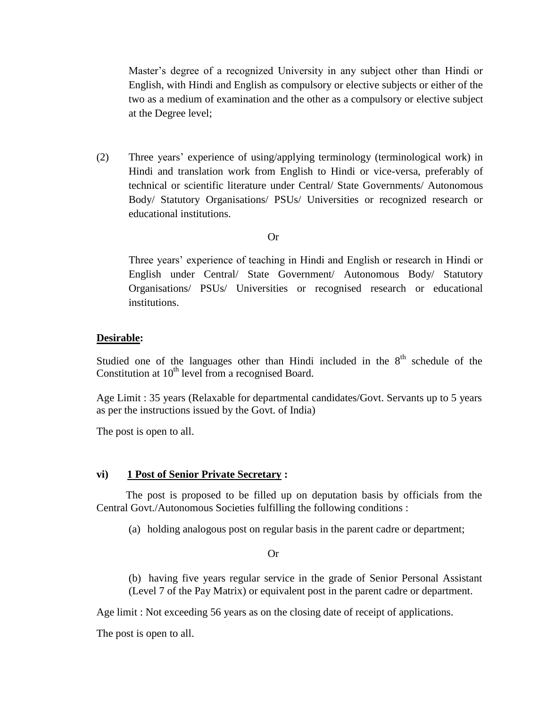Master's degree of a recognized University in any subject other than Hindi or English, with Hindi and English as compulsory or elective subjects or either of the two as a medium of examination and the other as a compulsory or elective subject at the Degree level;

(2) Three years' experience of using/applying terminology (terminological work) in Hindi and translation work from English to Hindi or vice-versa, preferably of technical or scientific literature under Central/ State Governments/ Autonomous Body/ Statutory Organisations/ PSUs/ Universities or recognized research or educational institutions.

#### Or

Three years' experience of teaching in Hindi and English or research in Hindi or English under Central/ State Government/ Autonomous Body/ Statutory Organisations/ PSUs/ Universities or recognised research or educational institutions.

#### **Desirable:**

Studied one of the languages other than Hindi included in the  $8<sup>th</sup>$  schedule of the Constitution at  $10<sup>th</sup>$  level from a recognised Board.

Age Limit : 35 years (Relaxable for departmental candidates/Govt. Servants up to 5 years as per the instructions issued by the Govt. of India)

The post is open to all.

#### **vi) 1 Post of Senior Private Secretary :**

The post is proposed to be filled up on deputation basis by officials from the Central Govt./Autonomous Societies fulfilling the following conditions :

(a) holding analogous post on regular basis in the parent cadre or department;

Or

(b) having five years regular service in the grade of Senior Personal Assistant (Level 7 of the Pay Matrix) or equivalent post in the parent cadre or department.

Age limit : Not exceeding 56 years as on the closing date of receipt of applications.

The post is open to all.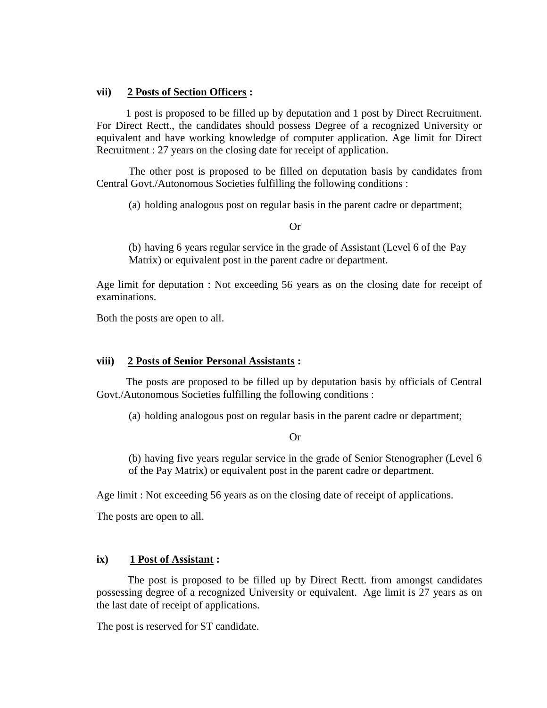#### **vii) 2 Posts of Section Officers :**

1 post is proposed to be filled up by deputation and 1 post by Direct Recruitment. For Direct Rectt., the candidates should possess Degree of a recognized University or equivalent and have working knowledge of computer application. Age limit for Direct Recruitment : 27 years on the closing date for receipt of application.

The other post is proposed to be filled on deputation basis by candidates from Central Govt./Autonomous Societies fulfilling the following conditions :

(a) holding analogous post on regular basis in the parent cadre or department;

Or

(b) having 6 years regular service in the grade of Assistant (Level 6 of the Pay Matrix) or equivalent post in the parent cadre or department.

Age limit for deputation : Not exceeding 56 years as on the closing date for receipt of examinations.

Both the posts are open to all.

## **viii) 2 Posts of Senior Personal Assistants :**

The posts are proposed to be filled up by deputation basis by officials of Central Govt./Autonomous Societies fulfilling the following conditions :

(a) holding analogous post on regular basis in the parent cadre or department;

Or

(b) having five years regular service in the grade of Senior Stenographer (Level 6 of the Pay Matrix) or equivalent post in the parent cadre or department.

Age limit : Not exceeding 56 years as on the closing date of receipt of applications.

The posts are open to all.

## **ix) 1 Post of Assistant :**

The post is proposed to be filled up by Direct Rectt. from amongst candidates possessing degree of a recognized University or equivalent. Age limit is 27 years as on the last date of receipt of applications.

The post is reserved for ST candidate.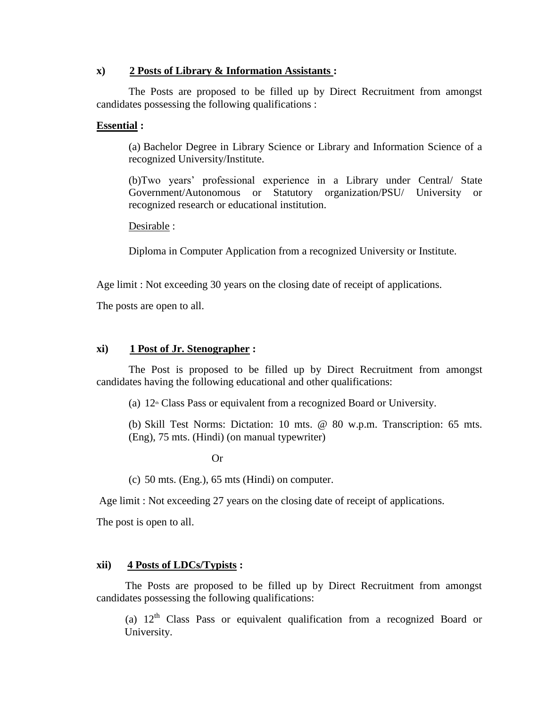#### **x) 2 Posts of Library & Information Assistants :**

The Posts are proposed to be filled up by Direct Recruitment from amongst candidates possessing the following qualifications :

#### **Essential :**

(a) Bachelor Degree in Library Science or Library and Information Science of a recognized University/Institute.

(b)Two years' professional experience in a Library under Central/ State Government/Autonomous or Statutory organization/PSU/ University or recognized research or educational institution.

Desirable :

Diploma in Computer Application from a recognized University or Institute.

Age limit : Not exceeding 30 years on the closing date of receipt of applications.

The posts are open to all.

#### **xi) 1 Post of Jr. Stenographer :**

The Post is proposed to be filled up by Direct Recruitment from amongst candidates having the following educational and other qualifications:

(a)  $12<sup>th</sup>$  Class Pass or equivalent from a recognized Board or University.

(b) Skill Test Norms: Dictation: 10 mts. @ 80 w.p.m. Transcription: 65 mts. (Eng), 75 mts. (Hindi) (on manual typewriter)

Or

(c) 50 mts. (Eng.), 65 mts (Hindi) on computer.

Age limit : Not exceeding 27 years on the closing date of receipt of applications.

The post is open to all.

## **xii) 4 Posts of LDCs/Typists :**

The Posts are proposed to be filled up by Direct Recruitment from amongst candidates possessing the following qualifications:

(a)  $12<sup>th</sup>$  Class Pass or equivalent qualification from a recognized Board or University.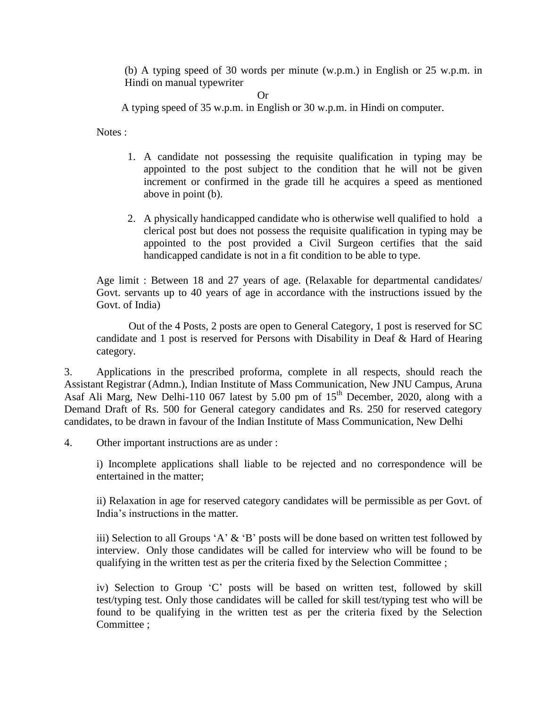(b) A typing speed of 30 words per minute (w.p.m.) in English or 25 w.p.m. in Hindi on manual typewriter

Or

A typing speed of 35 w.p.m. in English or 30 w.p.m. in Hindi on computer.

Notes :

- 1. A candidate not possessing the requisite qualification in typing may be appointed to the post subject to the condition that he will not be given increment or confirmed in the grade till he acquires a speed as mentioned above in point (b).
- 2. A physically handicapped candidate who is otherwise well qualified to hold a clerical post but does not possess the requisite qualification in typing may be appointed to the post provided a Civil Surgeon certifies that the said handicapped candidate is not in a fit condition to be able to type.

Age limit : Between 18 and 27 years of age. (Relaxable for departmental candidates/ Govt. servants up to 40 years of age in accordance with the instructions issued by the Govt. of India)

Out of the 4 Posts, 2 posts are open to General Category, 1 post is reserved for SC candidate and 1 post is reserved for Persons with Disability in Deaf & Hard of Hearing category.

3. Applications in the prescribed proforma, complete in all respects, should reach the Assistant Registrar (Admn.), Indian Institute of Mass Communication, New JNU Campus, Aruna Asaf Ali Marg, New Delhi-110 067 latest by 5.00 pm of 15<sup>th</sup> December, 2020, along with a Demand Draft of Rs. 500 for General category candidates and Rs. 250 for reserved category candidates, to be drawn in favour of the Indian Institute of Mass Communication, New Delhi

4. Other important instructions are as under :

i) Incomplete applications shall liable to be rejected and no correspondence will be entertained in the matter;

ii) Relaxation in age for reserved category candidates will be permissible as per Govt. of India's instructions in the matter.

iii) Selection to all Groups 'A' & 'B' posts will be done based on written test followed by interview. Only those candidates will be called for interview who will be found to be qualifying in the written test as per the criteria fixed by the Selection Committee ;

iv) Selection to Group 'C' posts will be based on written test, followed by skill test/typing test. Only those candidates will be called for skill test/typing test who will be found to be qualifying in the written test as per the criteria fixed by the Selection Committee ;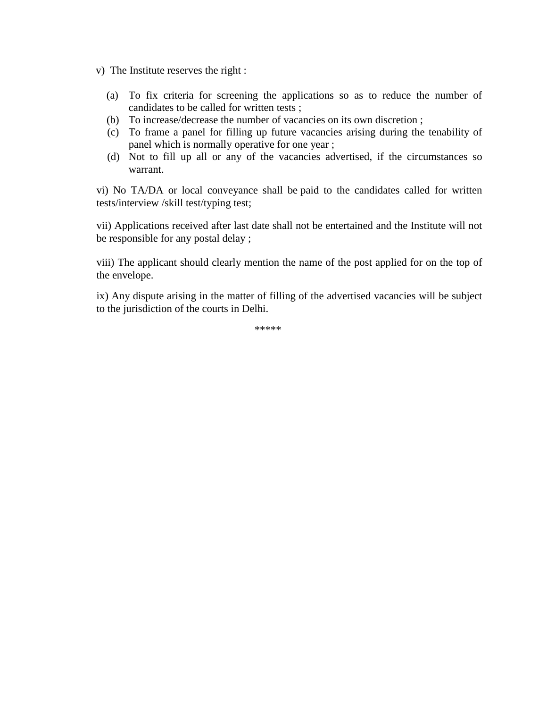v) The Institute reserves the right :

- (a) To fix criteria for screening the applications so as to reduce the number of candidates to be called for written tests ;
- (b) To increase/decrease the number of vacancies on its own discretion ;
- (c) To frame a panel for filling up future vacancies arising during the tenability of panel which is normally operative for one year ;
- (d) Not to fill up all or any of the vacancies advertised, if the circumstances so warrant.

vi) No TA/DA or local conveyance shall be paid to the candidates called for written tests/interview /skill test/typing test;

vii) Applications received after last date shall not be entertained and the Institute will not be responsible for any postal delay ;

viii) The applicant should clearly mention the name of the post applied for on the top of the envelope.

ix) Any dispute arising in the matter of filling of the advertised vacancies will be subject to the jurisdiction of the courts in Delhi.

\*\*\*\*\*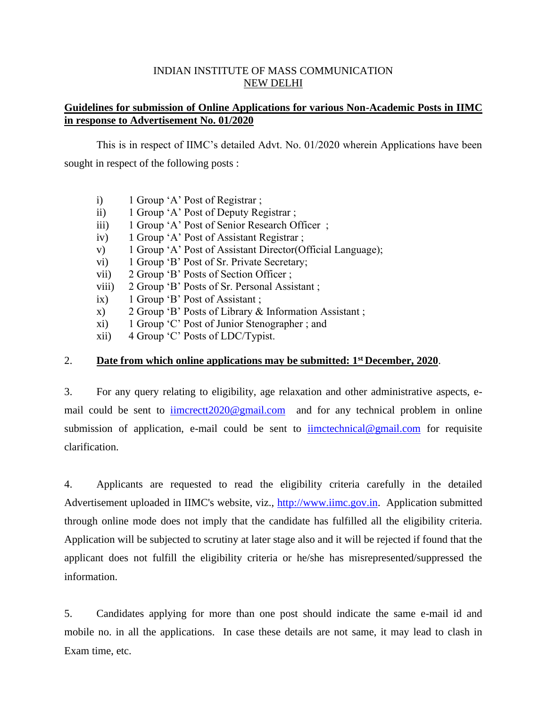# INDIAN INSTITUTE OF MASS COMMUNICATION NEW DELHI

# **Guidelines for submission of Online Applications for various Non-Academic Posts in IIMC in response to Advertisement No. 01/2020**

This is in respect of IIMC's detailed Advt. No. 01/2020 wherein Applications have been sought in respect of the following posts :

- i) 1 Group 'A' Post of Registrar ;
- ii) 1 Group 'A' Post of Deputy Registrar ;
- iii) 1 Group 'A' Post of Senior Research Officer ;
- iv) 1 Group 'A' Post of Assistant Registrar ;
- v) 1 Group 'A' Post of Assistant Director(Official Language);
- vi) 1 Group 'B' Post of Sr. Private Secretary;
- vii) 2 Group 'B' Posts of Section Officer ;
- viii) 2 Group 'B' Posts of Sr. Personal Assistant ;
- ix) 1 Group 'B' Post of Assistant ;
- x) 2 Group 'B' Posts of Library & Information Assistant ;
- xi) 1 Group 'C' Post of Junior Stenographer ; and
- xii) 4 Group 'C' Posts of LDC/Typist.

# 2. **Date from which online applications may be submitted: 1st December, 2020**.

3. For any query relating to eligibility, age relaxation and other administrative aspects, email could be sent to imcrectt2020@gmail.com and for any technical problem in online submission of application, e-mail could be sent to [iimctechnical@gmail.com](mailto:iimctechnical@gmail.com) for requisite clarification.

4. Applicants are requested to read the eligibility criteria carefully in the detailed Advertisement uploaded in IIMC's website, viz., [http://www.iimc.gov.in.](http://www.iimc.gov.in/) Application submitted through online mode does not imply that the candidate has fulfilled all the eligibility criteria. Application will be subjected to scrutiny at later stage also and it will be rejected if found that the applicant does not fulfill the eligibility criteria or he/she has misrepresented/suppressed the information.

5. Candidates applying for more than one post should indicate the same e-mail id and mobile no. in all the applications. In case these details are not same, it may lead to clash in Exam time, etc.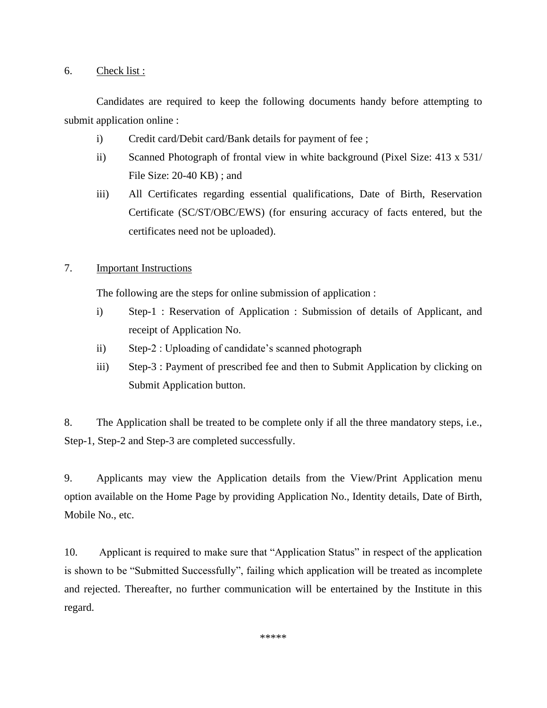## 6. Check list :

Candidates are required to keep the following documents handy before attempting to submit application online :

- i) Credit card/Debit card/Bank details for payment of fee ;
- ii) Scanned Photograph of frontal view in white background (Pixel Size: 413 x 531/ File Size: 20-40 KB) ; and
- iii) All Certificates regarding essential qualifications, Date of Birth, Reservation Certificate (SC/ST/OBC/EWS) (for ensuring accuracy of facts entered, but the certificates need not be uploaded).

# 7. Important Instructions

The following are the steps for online submission of application :

- i) Step-1 : Reservation of Application : Submission of details of Applicant, and receipt of Application No.
- ii) Step-2 : Uploading of candidate's scanned photograph
- iii) Step-3 : Payment of prescribed fee and then to Submit Application by clicking on Submit Application button.

8. The Application shall be treated to be complete only if all the three mandatory steps, i.e., Step-1, Step-2 and Step-3 are completed successfully.

9. Applicants may view the Application details from the View/Print Application menu option available on the Home Page by providing Application No., Identity details, Date of Birth, Mobile No., etc.

10. Applicant is required to make sure that "Application Status" in respect of the application is shown to be "Submitted Successfully", failing which application will be treated as incomplete and rejected. Thereafter, no further communication will be entertained by the Institute in this regard.

\*\*\*\*\*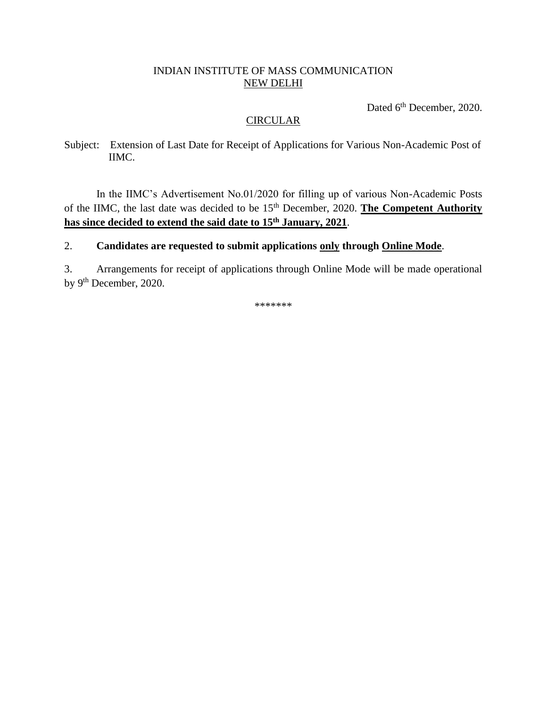# INDIAN INSTITUTE OF MASS COMMUNICATION NEW DELHI

Dated 6<sup>th</sup> December, 2020.

# **CIRCULAR**

Subject: Extension of Last Date for Receipt of Applications for Various Non-Academic Post of IIMC.

In the IIMC's Advertisement No.01/2020 for filling up of various Non-Academic Posts of the IIMC, the last date was decided to be 15<sup>th</sup> December, 2020. **The Competent Authority has since decided to extend the said date to 15th January, 2021**.

# 2. **Candidates are requested to submit applications only through Online Mode**.

3. Arrangements for receipt of applications through Online Mode will be made operational by 9<sup>th</sup> December, 2020.

\*\*\*\*\*\*\*